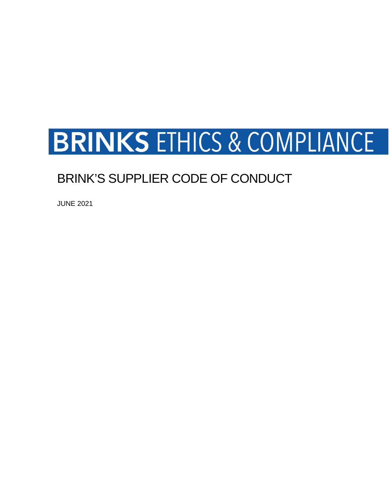# **BRINKS ETHICS & COMPLIANCE**

# BRINK'S SUPPLIER CODE OF CONDUCT

JUNE 2021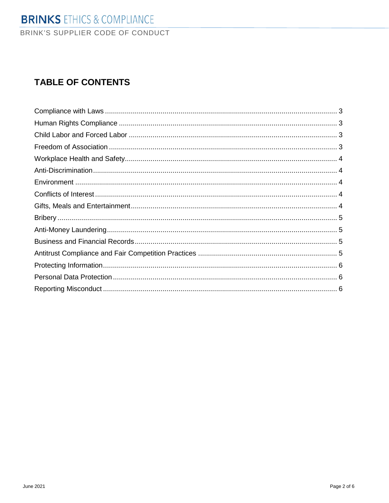# **TABLE OF CONTENTS**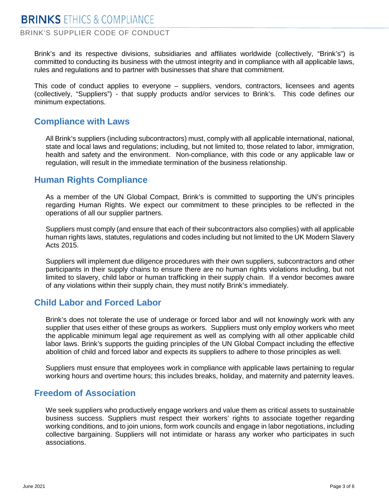BRINK'S SUPPLIER CODE OF CONDUCT

Brink's and its respective divisions, subsidiaries and affiliates worldwide (collectively, "Brink's") is committed to conducting its business with the utmost integrity and in compliance with all applicable laws, rules and regulations and to partner with businesses that share that commitment.

This code of conduct applies to everyone – suppliers, vendors, contractors, licensees and agents (collectively, "Suppliers") - that supply products and/or services to Brink's. This code defines our minimum expectations.

#### <span id="page-2-0"></span>**Compliance with Laws**

All Brink's suppliers (including subcontractors) must, comply with all applicable international, national, state and local laws and regulations; including, but not limited to, those related to labor, immigration, health and safety and the environment. Non-compliance, with this code or any applicable law or regulation, will result in the immediate termination of the business relationship.

#### <span id="page-2-1"></span>**Human Rights Compliance**

As a member of the UN Global Compact, Brink's is committed to supporting the UN's principles regarding Human Rights. We expect our commitment to these principles to be reflected in the operations of all our supplier partners.

Suppliers must comply (and ensure that each of their subcontractors also complies) with all applicable human rights laws, statutes, regulations and codes including but not limited to the UK Modern Slavery Acts 2015.

Suppliers will implement due diligence procedures with their own suppliers, subcontractors and other participants in their supply chains to ensure there are no human rights violations including, but not limited to slavery, child labor or human trafficking in their supply chain. If a vendor becomes aware of any violations within their supply chain, they must notify Brink's immediately.

#### <span id="page-2-2"></span>**Child Labor and Forced Labor**

Brink's does not tolerate the use of underage or forced labor and will not knowingly work with any supplier that uses either of these groups as workers. Suppliers must only employ workers who meet the applicable minimum legal age requirement as well as complying with all other applicable child labor laws. Brink's supports the guiding principles of the UN Global Compact including the effective abolition of child and forced labor and expects its suppliers to adhere to those principles as well.

Suppliers must ensure that employees work in compliance with applicable laws pertaining to regular working hours and overtime hours; this includes breaks, holiday, and maternity and paternity leaves.

#### <span id="page-2-3"></span>**Freedom of Association**

We seek suppliers who productively engage workers and value them as critical assets to sustainable business success. Suppliers must respect their workers' rights to associate together regarding working conditions, and to join unions, form work councils and engage in labor negotiations, including collective bargaining. Suppliers will not intimidate or harass any worker who participates in such associations.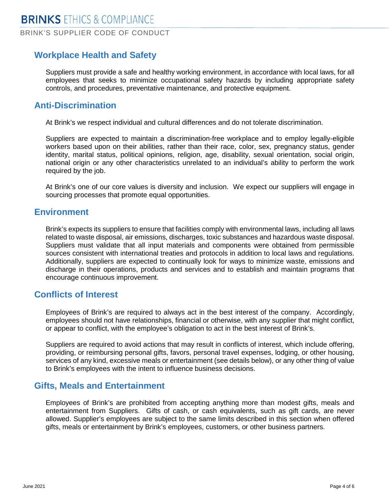## <span id="page-3-0"></span>**Workplace Health and Safety**

Suppliers must provide a safe and healthy working environment, in accordance with local laws, for all employees that seeks to minimize occupational safety hazards by including appropriate safety controls, and procedures, preventative maintenance, and protective equipment.

#### <span id="page-3-1"></span>**Anti-Discrimination**

At Brink's we respect individual and cultural differences and do not tolerate discrimination.

Suppliers are expected to maintain a discrimination-free workplace and to employ legally-eligible workers based upon on their abilities, rather than their race, color, sex, pregnancy status, gender identity, marital status, political opinions, religion, age, disability, sexual orientation, social origin, national origin or any other characteristics unrelated to an individual's ability to perform the work required by the job.

At Brink's one of our core values is diversity and inclusion. We expect our suppliers will engage in sourcing processes that promote equal opportunities.

#### <span id="page-3-2"></span>**Environment**

Brink's expects its suppliers to ensure that facilities comply with environmental laws, including all laws related to waste disposal, air emissions, discharges, toxic substances and hazardous waste disposal. Suppliers must validate that all input materials and components were obtained from permissible sources consistent with international treaties and protocols in addition to local laws and regulations. Additionally, suppliers are expected to continually look for ways to minimize waste, emissions and discharge in their operations, products and services and to establish and maintain programs that encourage continuous improvement.

#### <span id="page-3-3"></span>**Conflicts of Interest**

Employees of Brink's are required to always act in the best interest of the company. Accordingly, employees should not have relationships, financial or otherwise, with any supplier that might conflict, or appear to conflict, with the employee's obligation to act in the best interest of Brink's.

Suppliers are required to avoid actions that may result in conflicts of interest, which include offering, providing, or reimbursing personal gifts, favors, personal travel expenses, lodging, or other housing, services of any kind, excessive meals or entertainment (see details below), or any other thing of value to Brink's employees with the intent to influence business decisions.

#### <span id="page-3-4"></span>**Gifts, Meals and Entertainment**

<span id="page-3-5"></span>Employees of Brink's are prohibited from accepting anything more than modest gifts, meals and entertainment from Suppliers. Gifts of cash, or cash equivalents, such as gift cards, are never allowed. Supplier's employees are subject to the same limits described in this section when offered gifts, meals or entertainment by Brink's employees, customers, or other business partners.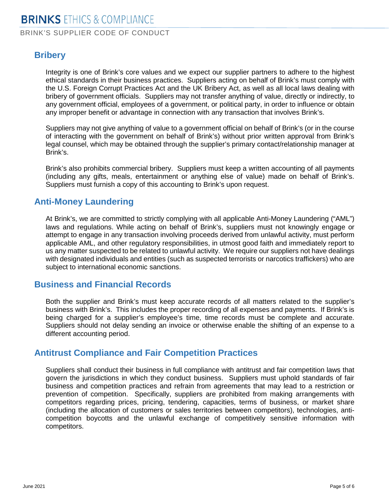# **Bribery**

Integrity is one of Brink's core values and we expect our supplier partners to adhere to the highest ethical standards in their business practices. Suppliers acting on behalf of Brink's must comply with the U.S. Foreign Corrupt Practices Act and the UK Bribery Act, as well as all local laws dealing with bribery of government officials. Suppliers may not transfer anything of value, directly or indirectly, to any government official, employees of a government, or political party, in order to influence or obtain any improper benefit or advantage in connection with any transaction that involves Brink's.

Suppliers may not give anything of value to a government official on behalf of Brink's (or in the course of interacting with the government on behalf of Brink's) without prior written approval from Brink's legal counsel, which may be obtained through the supplier's primary contact/relationship manager at Brink's.

Brink's also prohibits commercial bribery. Suppliers must keep a written accounting of all payments (including any gifts, meals, entertainment or anything else of value) made on behalf of Brink's. Suppliers must furnish a copy of this accounting to Brink's upon request.

## <span id="page-4-0"></span>**Anti-Money Laundering**

At Brink's, we are committed to strictly complying with all applicable Anti-Money Laundering ("AML") laws and regulations. While acting on behalf of Brink's, suppliers must not knowingly engage or attempt to engage in any transaction involving proceeds derived from unlawful activity, must perform applicable AML, and other regulatory responsibilities, in utmost good faith and immediately report to us any matter suspected to be related to unlawful activity. We require our suppliers not have dealings with designated individuals and entities (such as suspected terrorists or narcotics traffickers) who are subject to international economic sanctions.

#### <span id="page-4-1"></span>**Business and Financial Records**

Both the supplier and Brink's must keep accurate records of all matters related to the supplier's business with Brink's. This includes the proper recording of all expenses and payments. If Brink's is being charged for a supplier's employee's time, time records must be complete and accurate. Suppliers should not delay sending an invoice or otherwise enable the shifting of an expense to a different accounting period.

#### <span id="page-4-2"></span>**Antitrust Compliance and Fair Competition Practices**

<span id="page-4-3"></span>Suppliers shall conduct their business in full compliance with antitrust and fair competition laws that govern the jurisdictions in which they conduct business. Suppliers must uphold standards of fair business and competition practices and refrain from agreements that may lead to a restriction or prevention of competition. Specifically, suppliers are prohibited from making arrangements with competitors regarding prices, pricing, tendering, capacities, terms of business, or market share (including the allocation of customers or sales territories between competitors), technologies, anticompetition boycotts and the unlawful exchange of competitively sensitive information with competitors.